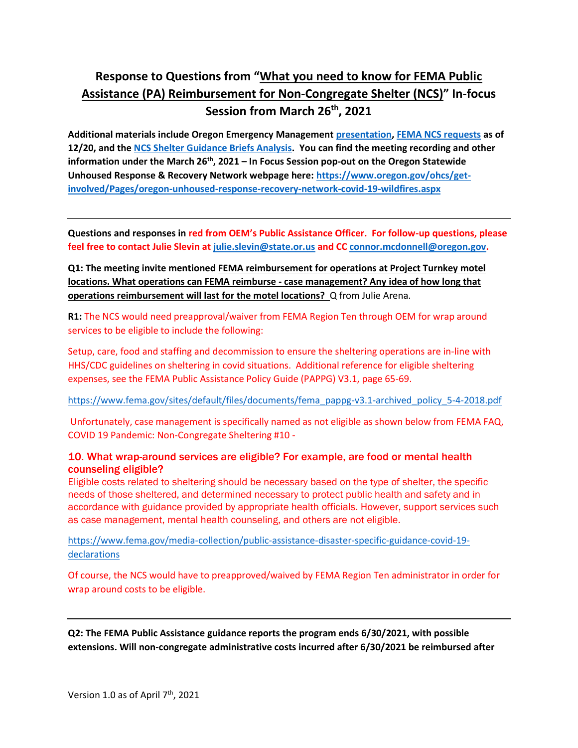# **Response to Questions from "What you need to know for FEMA Public Assistance (PA) Reimbursement for Non-Congregate Shelter (NCS)" In-focus Session from March 26th, 2021**

**Additional materials include Oregon Emergency Management [presentation,](https://www.oregon.gov/ohcs/housing-assistance/Pages/emergency-rental-assistance.aspx) [FEMA NCS requests](https://www.oregon.gov/ohcs/get-involved/Documents/committees/HTF/03-29-2021-FEMA-PA-NCS-Requests-as-of-mid.png) as of 12/20, and the [NCS Shelter Guidance Briefs Analysis.](https://www.oregon.gov/ohcs/get-involved/Pages/oregon-unhoused-response-recovery-network-covid-19-wildfires.aspx) You can find the meeting recording and other information under the March 26th, 2021 – In Focus Session pop-out on the Oregon Statewide Unhoused Response & Recovery Network webpage here: [https://www.oregon.gov/ohcs/get](https://www.oregon.gov/ohcs/get-involved/Pages/oregon-unhoused-response-recovery-network-covid-19-wildfires.aspx)[involved/Pages/oregon-unhoused-response-recovery-network-covid-19-wildfires.aspx](https://www.oregon.gov/ohcs/get-involved/Pages/oregon-unhoused-response-recovery-network-covid-19-wildfires.aspx)**

**Questions and responses in red from OEM's Public Assistance Officer. For follow-up questions, please feel free to contact Julie Slevin at [julie.slevin@state.or.us](mailto:julie.slevin@state.or.us) and CC [connor.mcdonnell@oregon.gov.](mailto:connor.mcdonnell@oregon.gov)** 

**Q1: The meeting invite mentioned FEMA reimbursement for operations at Project Turnkey motel locations. What operations can FEMA reimburse - case management? Any idea of how long that operations reimbursement will last for the motel locations?** Q from Julie Arena.

**R1:** The NCS would need preapproval/waiver from FEMA Region Ten through OEM for wrap around services to be eligible to include the following:

Setup, care, food and staffing and decommission to ensure the sheltering operations are in-line with HHS/CDC guidelines on sheltering in covid situations. Additional reference for eligible sheltering expenses, see the FEMA Public Assistance Policy Guide (PAPPG) V3.1, page 65-69.

[https://www.fema.gov/sites/default/files/documents/fema\\_pappg-v3.1-archived\\_policy\\_5-4-2018.pdf](https://www.fema.gov/sites/default/files/documents/fema_pappg-v3.1-archived_policy_5-4-2018.pdf)

Unfortunately, case management is specifically named as not eligible as shown below from FEMA FAQ, COVID 19 Pandemic: Non-Congregate Sheltering #10 -

# 10. What wrap-around services are eligible? For example, are food or mental health counseling eligible?

Eligible costs related to sheltering should be necessary based on the type of shelter, the specific needs of those sheltered, and determined necessary to protect public health and safety and in accordance with guidance provided by appropriate health officials. However, support services such as case management, mental health counseling, and others are not eligible.

[https://www.fema.gov/media-collection/public-assistance-disaster-specific-guidance-covid-19](https://www.fema.gov/media-collection/public-assistance-disaster-specific-guidance-covid-19-declarations) [declarations](https://www.fema.gov/media-collection/public-assistance-disaster-specific-guidance-covid-19-declarations)

Of course, the NCS would have to preapproved/waived by FEMA Region Ten administrator in order for wrap around costs to be eligible.

**Q2: The FEMA Public Assistance guidance reports the program ends 6/30/2021, with possible extensions. Will non-congregate administrative costs incurred after 6/30/2021 be reimbursed after**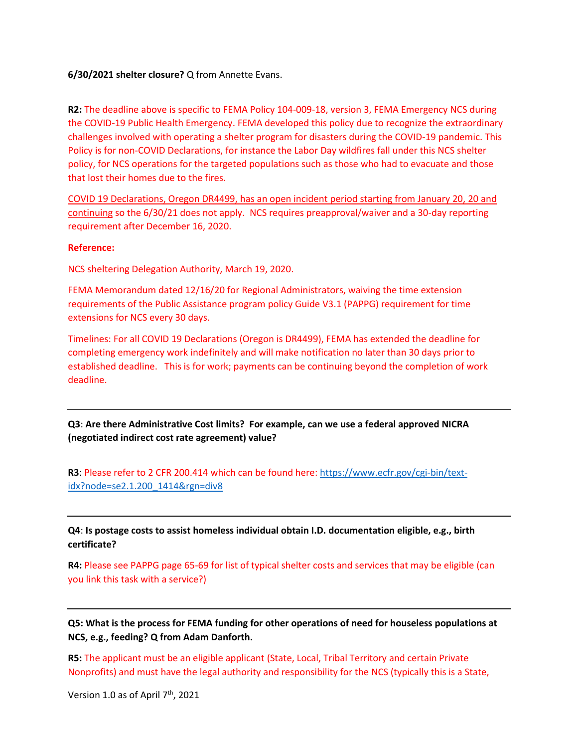## **6/30/2021 shelter closure?** Q from Annette Evans.

**R2:** The deadline above is specific to FEMA Policy 104-009-18, version 3, FEMA Emergency NCS during the COVID-19 Public Health Emergency. FEMA developed this policy due to recognize the extraordinary challenges involved with operating a shelter program for disasters during the COVID-19 pandemic. This Policy is for non-COVID Declarations, for instance the Labor Day wildfires fall under this NCS shelter policy, for NCS operations for the targeted populations such as those who had to evacuate and those that lost their homes due to the fires.

COVID 19 Declarations, Oregon DR4499, has an open incident period starting from January 20, 20 and continuing so the 6/30/21 does not apply. NCS requires preapproval/waiver and a 30-day reporting requirement after December 16, 2020.

#### **Reference:**

NCS sheltering Delegation Authority, March 19, 2020.

FEMA Memorandum dated 12/16/20 for Regional Administrators, waiving the time extension requirements of the Public Assistance program policy Guide V3.1 (PAPPG) requirement for time extensions for NCS every 30 days.

Timelines: For all COVID 19 Declarations (Oregon is DR4499), FEMA has extended the deadline for completing emergency work indefinitely and will make notification no later than 30 days prior to established deadline. This is for work; payments can be continuing beyond the completion of work deadline.

**Q3**: **Are there Administrative Cost limits? For example, can we use a federal approved NICRA (negotiated indirect cost rate agreement) value?**

**R3**: Please refer to 2 CFR 200.414 which can be found here: [https://www.ecfr.gov/cgi-bin/text](https://www.ecfr.gov/cgi-bin/text-idx?node=se2.1.200_1414&rgn=div8)[idx?node=se2.1.200\\_1414&rgn=div8](https://www.ecfr.gov/cgi-bin/text-idx?node=se2.1.200_1414&rgn=div8)

**Q4**: **Is postage costs to assist homeless individual obtain I.D. documentation eligible, e.g., birth certificate?**

**R4:** Please see PAPPG page 65-69 for list of typical shelter costs and services that may be eligible (can you link this task with a service?)

**Q5: What is the process for FEMA funding for other operations of need for houseless populations at NCS, e.g., feeding? Q from Adam Danforth.**

**R5:** The applicant must be an eligible applicant (State, Local, Tribal Territory and certain Private Nonprofits) and must have the legal authority and responsibility for the NCS (typically this is a State,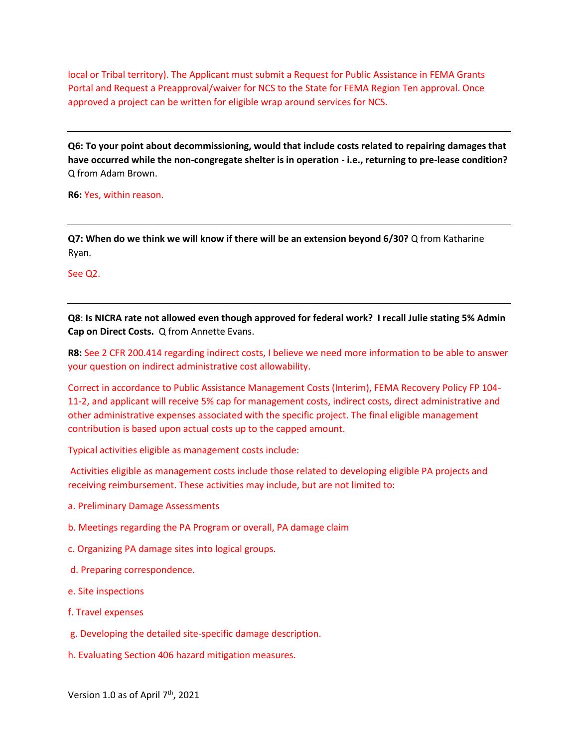local or Tribal territory). The Applicant must submit a Request for Public Assistance in FEMA Grants Portal and Request a Preapproval/waiver for NCS to the State for FEMA Region Ten approval. Once approved a project can be written for eligible wrap around services for NCS.

**Q6: To your point about decommissioning, would that include costs related to repairing damages that have occurred while the non-congregate shelter is in operation - i.e., returning to pre-lease condition?** Q from Adam Brown.

**R6:** Yes, within reason.

**Q7: When do we think we will know if there will be an extension beyond 6/30?** Q from Katharine Ryan.

See Q2.

**Q8**: **Is NICRA rate not allowed even though approved for federal work? I recall Julie stating 5% Admin Cap on Direct Costs.** Q from Annette Evans.

**R8:** See 2 CFR 200.414 regarding indirect costs, I believe we need more information to be able to answer your question on indirect administrative cost allowability.

Correct in accordance to Public Assistance Management Costs (Interim), FEMA Recovery Policy FP 104- 11-2, and applicant will receive 5% cap for management costs, indirect costs, direct administrative and other administrative expenses associated with the specific project. The final eligible management contribution is based upon actual costs up to the capped amount.

Typical activities eligible as management costs include:

Activities eligible as management costs include those related to developing eligible PA projects and receiving reimbursement. These activities may include, but are not limited to:

- a. Preliminary Damage Assessments
- b. Meetings regarding the PA Program or overall, PA damage claim
- c. Organizing PA damage sites into logical groups.
- d. Preparing correspondence.
- e. Site inspections
- f. Travel expenses
- g. Developing the detailed site-specific damage description.
- h. Evaluating Section 406 hazard mitigation measures.